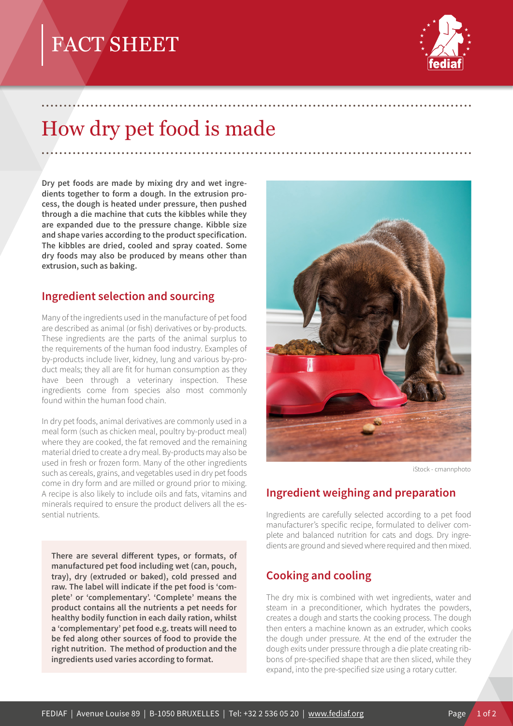# FACT SHEET



# How dry pet food is made

.................................................................................................

.................................................................................................

**Dry pet foods are made by mixing dry and wet ingredients together to form a dough. In the extrusion process, the dough is heated under pressure, then pushed through a die machine that cuts the kibbles while they are expanded due to the pressure change. Kibble size and shape varies according to the product specification. The kibbles are dried, cooled and spray coated. Some dry foods may also be produced by means other than extrusion, such as baking.**

#### **Ingredient selection and sourcing**

Many of the ingredients used in the manufacture of pet food are described as animal (or fish) derivatives or by-products. These ingredients are the parts of the animal surplus to the requirements of the human food industry. Examples of by-products include liver, kidney, lung and various by-product meals; they all are fit for human consumption as they have been through a veterinary inspection. These ingredients come from species also most commonly found within the human food chain.

In dry pet foods, animal derivatives are commonly used in a meal form (such as chicken meal, poultry by-product meal) where they are cooked, the fat removed and the remaining material dried to create a dry meal. By-products may also be used in fresh or frozen form. Many of the other ingredients such as cereals, grains, and vegetables used in dry pet foods come in dry form and are milled or ground prior to mixing. A recipe is also likely to include oils and fats, vitamins and minerals required to ensure the product delivers all the essential nutrients.

**There are several different types, or formats, of manufactured pet food including wet (can, pouch, tray), dry (extruded or baked), cold pressed and raw. The label will indicate if the pet food is 'complete' or 'complementary'. 'Complete' means the product contains all the nutrients a pet needs for healthy bodily function in each daily ration, whilst a 'complementary' pet food e.g. treats will need to be fed along other sources of food to provide the right nutrition. The method of production and the ingredients used varies according to format.**



iStock - cmannphoto

### **Ingredient weighing and preparation**

Ingredients are carefully selected according to a pet food manufacturer's specific recipe, formulated to deliver complete and balanced nutrition for cats and dogs. Dry ingredients are ground and sieved where required and then mixed.

### **Cooking and cooling**

The dry mix is combined with wet ingredients, water and steam in a preconditioner, which hydrates the powders, creates a dough and starts the cooking process. The dough then enters a machine known as an extruder, which cooks the dough under pressure. At the end of the extruder the dough exits under pressure through a die plate creating ribbons of pre-specified shape that are then sliced, while they expand, into the pre-specified size using a rotary cutter.